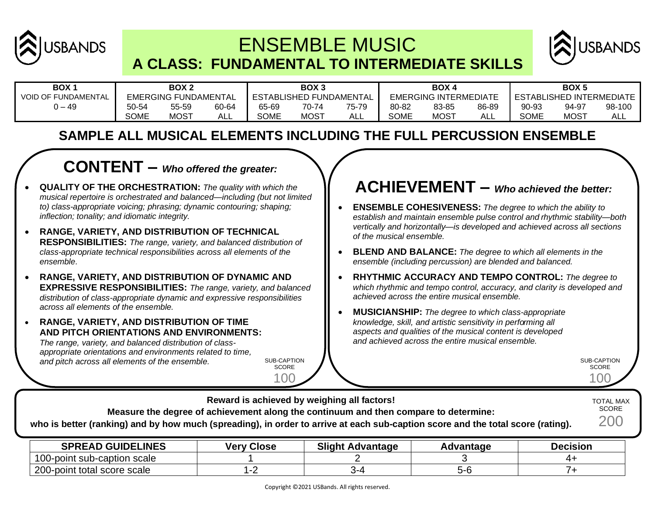

# ENSEMBLE MUSIC **A CLASS: FUNDAMENTAL TO INTERMEDIATE SKILLS**



| BOX ·                      | BOX <sub>2</sub>            |             | BOX <sub>3</sub>               |             | <b>BOX4</b>                  |       | BOX <sub>5</sub>         |             |       |             |             |        |
|----------------------------|-----------------------------|-------------|--------------------------------|-------------|------------------------------|-------|--------------------------|-------------|-------|-------------|-------------|--------|
| <b>VOID OF FUNDAMENTAL</b> | <b>EMERGING FUNDAMENTAL</b> |             | <b>ESTABLISHED FUNDAMENTAL</b> |             | <b>EMERGING INTERMEDIATE</b> |       | ESTABLISHED INTERMEDIATE |             |       |             |             |        |
| $-49$                      | 50-54                       | 55-59       | 60-64                          | 65-69       | 70-74                        | 75-79 | 80-82                    | 83-85       | 86-89 | 90-93       | 94-97       | 98-100 |
|                            | <b>SOME</b>                 | <b>MOST</b> | <b>ALL</b>                     | <b>SOME</b> | <b>MOST</b>                  | ALL   | <b>SOME</b>              | <b>MOST</b> | ┒∟∟   | <b>SOME</b> | <b>MOST</b> | ALL    |

#### **SAMPLE ALL MUSICAL ELEMENTS INCLUDING THE FULL PERCUSSION ENSEMBLE**

### **CONTENT –** *Who offered the greater:*

- **QUALITY OF THE ORCHESTRATION:** *The quality with which the musical repertoire is orchestrated and balanced—including (but not limited to) class-appropriate voicing; phrasing; dynamic contouring; shaping; inflection; tonality; and idiomatic integrity.*
- **RANGE, VARIETY, AND DISTRIBUTION OF TECHNICAL RESPONSIBILITIES:** *The range, variety, and balanced distribution of class-appropriate technical responsibilities across all elements of the ensemble.*
- **RANGE, VARIETY, AND DISTRIBUTION OF DYNAMIC AND EXPRESSIVE RESPONSIBILITIES:** *The range, variety, and balanced distribution of class-appropriate dynamic and expressive responsibilities across all elements of the ensemble.*
- **RANGE, VARIETY, AND DISTRIBUTION OF TIME AND PITCH ORIENTATIONS AND ENVIRONMENTS:**

*The range, variety, and balanced distribution of classappropriate orientations and environments related to time, and pitch across all elements of the ensemble.*

SUB-CAPTION **SCORE** 

100

**Reward is achieved by weighing all factors!**

## **ACHIEVEMENT –** *Who achieved the better:*

- **ENSEMBLE COHESIVENESS:** *The degree to which the ability to establish and maintain ensemble pulse control and rhythmic stability—both vertically and horizontally—is developed and achieved across all sections of the musical ensemble.*
- **BLEND AND BALANCE:** *The degree to which all elements in the ensemble (including percussion) are blended and balanced.*
- **RHYTHMIC ACCURACY AND TEMPO CONTROL:** *The degree to which rhythmic and tempo control, accuracy, and clarity is developed and achieved across the entire musical ensemble.*
- **MUSICIANSHIP:** *The degree to which class-appropriate knowledge, skill, and artistic sensitivity in performing all aspects and qualities of the musical content is developed and achieved across the entire musical ensemble.*

SUB-CAPTION **SCORE** 100

TOTAL MAX

| Measure the degree of achievement along the continuum and then compare to determine:<br>who is better (ranking) and by how much (spreading), in order to arrive at each sub-caption score and the total score (rating). |                   |                         |           |                 |  |  |  |  |
|-------------------------------------------------------------------------------------------------------------------------------------------------------------------------------------------------------------------------|-------------------|-------------------------|-----------|-----------------|--|--|--|--|
| <b>SPREAD GUIDELINES</b>                                                                                                                                                                                                | <b>Very Close</b> | <b>Slight Advantage</b> | Advantage | <b>Decision</b> |  |  |  |  |
| 100-point sub-caption scale                                                                                                                                                                                             |                   |                         |           | 4+              |  |  |  |  |
| 200-point total score scale                                                                                                                                                                                             | l-2               | 3-4                     | $5-6$     |                 |  |  |  |  |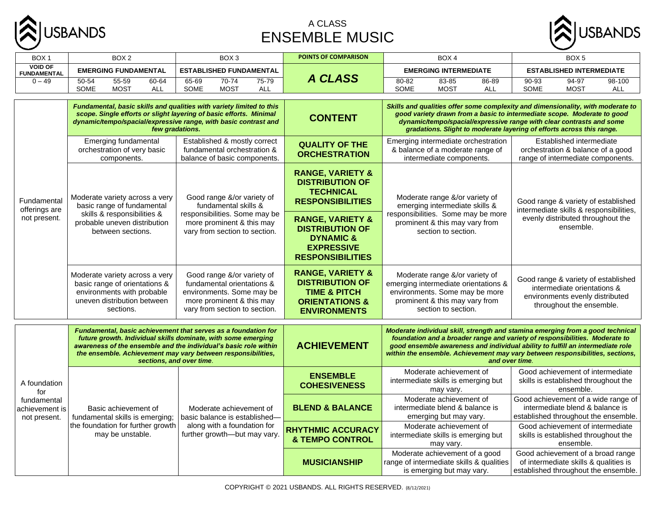

#### A CLASS ENSEMBLE MUSIC



| BOX <sub>1</sub>                              | BOX <sub>2</sub>                                                                                                                                                                                                                                                                                | BOX <sub>3</sub>                                                                                                                                    | <b>POINTS OF COMPARISON</b>                                                                                                          | BOX <sub>4</sub>                                                                                                                                                  | BOX <sub>5</sub>                                                                                                                                                                                                                                                                                                                                   |                                                                                                                    |  |
|-----------------------------------------------|-------------------------------------------------------------------------------------------------------------------------------------------------------------------------------------------------------------------------------------------------------------------------------------------------|-----------------------------------------------------------------------------------------------------------------------------------------------------|--------------------------------------------------------------------------------------------------------------------------------------|-------------------------------------------------------------------------------------------------------------------------------------------------------------------|----------------------------------------------------------------------------------------------------------------------------------------------------------------------------------------------------------------------------------------------------------------------------------------------------------------------------------------------------|--------------------------------------------------------------------------------------------------------------------|--|
| <b>VOID OF</b><br><b>FUNDAMENTAL</b>          | <b>EMERGING FUNDAMENTAL</b>                                                                                                                                                                                                                                                                     | <b>ESTABLISHED FUNDAMENTAL</b>                                                                                                                      |                                                                                                                                      | <b>EMERGING INTERMEDIATE</b>                                                                                                                                      | <b>ESTABLISHED INTERMEDIATE</b>                                                                                                                                                                                                                                                                                                                    |                                                                                                                    |  |
| $0 - 49$                                      | 55-59<br>50-54<br>60-64<br>SOME<br><b>MOST</b><br><b>ALL</b>                                                                                                                                                                                                                                    | 65-69<br>70-74<br>75-79<br><b>SOME</b><br><b>MOST</b><br><b>ALL</b>                                                                                 | <b>A CLASS</b>                                                                                                                       | 80-82<br>83-85<br>86-89<br>SOME<br><b>MOST</b><br><b>ALL</b>                                                                                                      | 90-93<br>94-97<br>98-100<br><b>SOME</b><br><b>MOST</b><br><b>ALL</b>                                                                                                                                                                                                                                                                               |                                                                                                                    |  |
|                                               | Fundamental, basic skills and qualities with variety limited to this<br>scope. Single efforts or slight layering of basic efforts. Minimal                                                                                                                                                      |                                                                                                                                                     |                                                                                                                                      |                                                                                                                                                                   | Skills and qualities offer some complexity and dimensionality, with moderate to<br>good variety drawn from a basic to intermediate scope. Moderate to good                                                                                                                                                                                         |                                                                                                                    |  |
|                                               | dynamic/tempo/spacial/expressive range, with basic contrast and<br>few gradations.                                                                                                                                                                                                              |                                                                                                                                                     | <b>CONTENT</b>                                                                                                                       |                                                                                                                                                                   | dynamic/tempo/spacial/expressive range with clear contrasts and some<br>gradations. Slight to moderate layering of efforts across this range.                                                                                                                                                                                                      |                                                                                                                    |  |
|                                               | Emerging fundamental<br>orchestration of very basic<br>components.                                                                                                                                                                                                                              | Established & mostly correct<br>fundamental orchestration &<br>balance of basic components.                                                         | <b>QUALITY OF THE</b><br><b>ORCHESTRATION</b>                                                                                        | Emerging intermediate orchestration<br>& balance of a moderate range of<br>intermediate components.                                                               | Established intermediate<br>orchestration & balance of a good<br>range of intermediate components.                                                                                                                                                                                                                                                 |                                                                                                                    |  |
| Fundamental<br>offerings are<br>not present.  | Moderate variety across a very<br>basic range of fundamental                                                                                                                                                                                                                                    | Good range &/or variety of<br>fundamental skills &                                                                                                  | <b>RANGE, VARIETY &amp;</b><br><b>DISTRIBUTION OF</b><br><b>TECHNICAL</b><br><b>RESPONSIBILITIES</b>                                 | Moderate range &/or variety of<br>emerging intermediate skills &                                                                                                  | Good range & variety of established<br>intermediate skills & responsibilities,<br>evenly distributed throughout the<br>ensemble.                                                                                                                                                                                                                   |                                                                                                                    |  |
|                                               | skills & responsibilities &<br>probable uneven distribution<br>between sections.                                                                                                                                                                                                                | responsibilities. Some may be<br>more prominent & this may<br>vary from section to section.                                                         | <b>RANGE, VARIETY &amp;</b><br><b>DISTRIBUTION OF</b><br><b>DYNAMIC &amp;</b><br><b>EXPRESSIVE</b><br><b>RESPONSIBILITIES</b>        | responsibilities. Some may be more<br>prominent & this may vary from<br>section to section.                                                                       |                                                                                                                                                                                                                                                                                                                                                    |                                                                                                                    |  |
|                                               | Moderate variety across a very<br>basic range of orientations &<br>environments with probable<br>uneven distribution between<br>sections.                                                                                                                                                       | Good range &/or variety of<br>fundamental orientations &<br>environments. Some may be<br>more prominent & this may<br>vary from section to section. | <b>RANGE, VARIETY &amp;</b><br><b>DISTRIBUTION OF</b><br><b>TIME &amp; PITCH</b><br><b>ORIENTATIONS &amp;</b><br><b>ENVIRONMENTS</b> | Moderate range &/or variety of<br>emerging intermediate orientations &<br>environments. Some may be more<br>prominent & this may vary from<br>section to section. | Good range & variety of established<br>intermediate orientations &<br>environments evenly distributed<br>throughout the ensemble.                                                                                                                                                                                                                  |                                                                                                                    |  |
|                                               | Fundamental, basic achievement that serves as a foundation for<br>future growth. Individual skills dominate, with some emerging<br>awareness of the ensemble and the individual's basic role within<br>the ensemble. Achievement may vary between responsibilities,<br>sections, and over time. |                                                                                                                                                     | <b>ACHIEVEMENT</b>                                                                                                                   |                                                                                                                                                                   | Moderate individual skill, strength and stamina emerging from a good technical<br>foundation and a broader range and variety of responsibilities. Moderate to<br>good ensemble awareness and individual ability to fulfill an intermediate role<br>within the ensemble. Achievement may vary between responsibilities, sections,<br>and over time. |                                                                                                                    |  |
| A foundation<br>for                           |                                                                                                                                                                                                                                                                                                 |                                                                                                                                                     | <b>ENSEMBLE</b><br><b>COHESIVENESS</b>                                                                                               | Moderate achievement of<br>intermediate skills is emerging but<br>may vary.                                                                                       | Good achievement of intermediate<br>skills is established throughout the<br>ensemble.                                                                                                                                                                                                                                                              |                                                                                                                    |  |
| fundamental<br>achievement is<br>not present. | Basic achievement of<br>fundamental skills is emerging;                                                                                                                                                                                                                                         | Moderate achievement of<br>basic balance is established-                                                                                            | <b>BLEND &amp; BALANCE</b>                                                                                                           | Moderate achievement of<br>intermediate blend & balance is<br>emerging but may vary.                                                                              | Good achievement of a wide range of<br>intermediate blend & balance is<br>established throughout the ensemble.                                                                                                                                                                                                                                     |                                                                                                                    |  |
|                                               | the foundation for further growth<br>may be unstable.                                                                                                                                                                                                                                           | along with a foundation for<br>further growth-but may vary.                                                                                         | <b>RHYTHMIC ACCURACY</b><br><b>&amp; TEMPO CONTROL</b>                                                                               | Moderate achievement of<br>intermediate skills is emerging but<br>may vary.                                                                                       | Good achievement of intermediate<br>skills is established throughout the<br>ensemble.                                                                                                                                                                                                                                                              |                                                                                                                    |  |
|                                               |                                                                                                                                                                                                                                                                                                 |                                                                                                                                                     |                                                                                                                                      |                                                                                                                                                                   | Moderate achievement of a good<br>range of intermediate skills & qualities<br>is emerging but may vary.                                                                                                                                                                                                                                            | Good achievement of a broad range<br>of intermediate skills & qualities is<br>established throughout the ensemble. |  |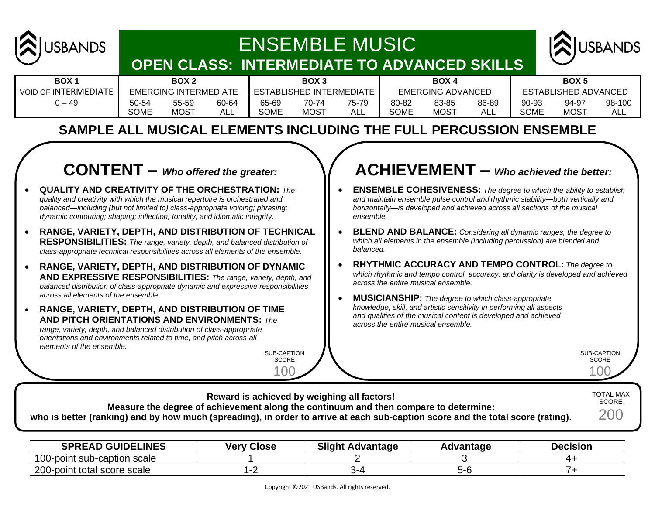

# ENSEMBLE MUSIC **OPEN CLASS: INTERMEDIATE TO ADVANCED SKILLS**



| <b>BOX</b>                  | BOX 2       |                       | BOX <sub>3</sub> |       | <b>BOX</b>               |       | <b>BOX</b>  |                   |       |             |                      |        |
|-----------------------------|-------------|-----------------------|------------------|-------|--------------------------|-------|-------------|-------------------|-------|-------------|----------------------|--------|
| <b>VOID OF INTERMEDIATE</b> |             | EMERGING INTERMEDIATE |                  |       | ESTABLISHED INTERMEDIATE |       |             | EMERGING ADVANCED |       |             | ESTABLISHED ADVANCED |        |
| ) – 49                      | 50-54       | 55-59                 | 60-64            | 65-69 |                          | 75-79 | 80-82       | 83-85             | 86-89 | 90-93       | 94-97                | 98-100 |
|                             | <b>SOME</b> | <b>MOST</b>           | ALL              | SOME  | <b>MOST</b>              | ALI   | <b>SOME</b> | <b>MOST</b>       |       | <b>SOME</b> | MOS <sup>T</sup>     | AL.    |

|             | BOX <sub>2</sub>      |       |       | BOX 3                    |       |       | BOX 4             |       |             | BOX 5                |       |
|-------------|-----------------------|-------|-------|--------------------------|-------|-------|-------------------|-------|-------------|----------------------|-------|
|             | EMERGING INTERMEDIATE |       |       | ESTABLISHED INTERMEDIATE |       |       | EMERGING ADVANCED |       |             | ESTABLISHED ADVANCED |       |
| 50-54       | 55-59                 | 60-64 | 65-69 | 70-74                    | 75-79 | 80-82 | 83-85             | 86-89 | 90-93       | 94-97                | 98-10 |
| <b>SOME</b> | MOST                  | ALL   | SOME  | MOST                     | ALL   | SOME  | MOST              | ALL   | <b>SOME</b> | <b>MOST</b>          | ALL   |
|             |                       |       |       |                          |       |       |                   |       |             |                      |       |

| ----            |    |
|-----------------|----|
| LISHED INTERMED |    |
| 70-74           | 75 |
| MOST            | А  |
|                 |    |

|    | BOX 4        |  |
|----|--------------|--|
|    | MERGING ADVA |  |
| :2 | 83-85        |  |
| .  | .            |  |

|             | вих э             |   |
|-------------|-------------------|---|
|             | ESTABLISHED ADVAN |   |
| $90-93$     | 94-97             | ć |
| <b>SOME</b> | MOST              |   |
|             |                   |   |

#### **SAMPLE ALL MUSICAL ELEMENTS INCLUDING THE FULL PERCUSSION ENSEMBLE**

# **CONTENT –** *Who offered the greater:*

- **QUALITY AND CREATIVITY OF THE ORCHESTRATION:** *The quality and creativity with which the musical repertoire is orchestrated and balanced—including (but not limited to) class-appropriate voicing; phrasing; dynamic contouring; shaping; inflection; tonality; and idiomatic integrity.*
- **RANGE, VARIETY, DEPTH, AND DISTRIBUTION OF TECHNICAL RESPONSIBILITIES:** *The range, variety, depth, and balanced distribution of class-appropriate technical responsibilities across all elements of the ensemble.*
- **RANGE, VARIETY, DEPTH, AND DISTRIBUTION OF DYNAMIC AND EXPRESSIVE RESPONSIBILITIES:** *The range, variety, depth, and balanced distribution of class-appropriate dynamic and expressive responsibilities across all elements of the ensemble.*
- **RANGE, VARIETY, DEPTH, AND DISTRIBUTION OF TIME AND PITCH ORIENTATIONS AND ENVIRONMENTS:** *The range, variety, depth, and balanced distribution of class-appropriate orientations and environments related to time, and pitch across all elements of the ensemble.*

SUB-CAPTION **SCORE** 100

# **ACHIEVEMENT –** *Who achieved the better:*

- **ENSEMBLE COHESIVENESS:** *The degree to which the ability to establish and maintain ensemble pulse control and rhythmic stability—both vertically and horizontally—is developed and achieved across all sections of the musical ensemble.*
- **BLEND AND BALANCE:** *Considering all dynamic ranges, the degree to which all elements in the ensemble (including percussion) are blended and balanced.*
- **RHYTHMIC ACCURACY AND TEMPO CONTROL:** *The degree to which rhythmic and tempo control, accuracy, and clarity is developed and achieved across the entire musical ensemble.*
- **MUSICIANSHIP:** *The degree to which class-appropriate knowledge, skill, and artistic sensitivity in performing all aspects and qualities of the musical content is developed and achieved across the entire musical ensemble.*

SUB-CAPTION **SCORE**  $0<sup>c</sup>$ 

| Reward is achieved by weighing all factors!                                                                                     | <b>TOTAL MAX</b> |
|---------------------------------------------------------------------------------------------------------------------------------|------------------|
| Measure the degree of achievement along the continuum and then compare to determine:                                            | <b>SCORE</b>     |
| who is better (ranking) and by how much (spreading), in order to arrive at each sub-caption score and the total score (rating). | 200              |
|                                                                                                                                 |                  |

| <b>SPREAD GUIDELINES</b>    | <b>Very Close</b> | <b>Slight Advantage</b> | Advantage | <b>Decision</b> |
|-----------------------------|-------------------|-------------------------|-----------|-----------------|
| 100-point sub-caption scale |                   |                         |           |                 |
| 200-point total score scale |                   |                         | 5-c       |                 |